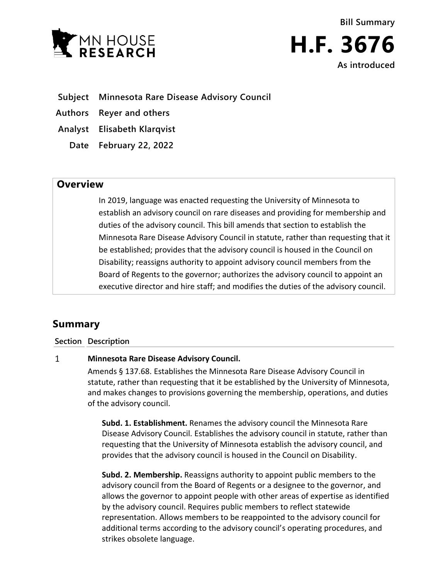

**Bill Summary H.F. 3676 As introduced**

- **Subject Minnesota Rare Disease Advisory Council**
- **Authors Reyer and others**

**Analyst Elisabeth Klarqvist**

**Date February 22, 2022**

## **Overview**

In 2019, language was enacted requesting the University of Minnesota to establish an advisory council on rare diseases and providing for membership and duties of the advisory council. This bill amends that section to establish the Minnesota Rare Disease Advisory Council in statute, rather than requesting that it be established; provides that the advisory council is housed in the Council on Disability; reassigns authority to appoint advisory council members from the Board of Regents to the governor; authorizes the advisory council to appoint an executive director and hire staff; and modifies the duties of the advisory council.

# **Summary**

### **Section Description**

#### $\mathbf{1}$ **Minnesota Rare Disease Advisory Council.**

Amends § 137.68. Establishes the Minnesota Rare Disease Advisory Council in statute, rather than requesting that it be established by the University of Minnesota, and makes changes to provisions governing the membership, operations, and duties of the advisory council.

**Subd. 1. Establishment.** Renames the advisory council the Minnesota Rare Disease Advisory Council. Establishes the advisory council in statute, rather than requesting that the University of Minnesota establish the advisory council, and provides that the advisory council is housed in the Council on Disability.

**Subd. 2. Membership.** Reassigns authority to appoint public members to the advisory council from the Board of Regents or a designee to the governor, and allows the governor to appoint people with other areas of expertise as identified by the advisory council. Requires public members to reflect statewide representation. Allows members to be reappointed to the advisory council for additional terms according to the advisory council's operating procedures, and strikes obsolete language.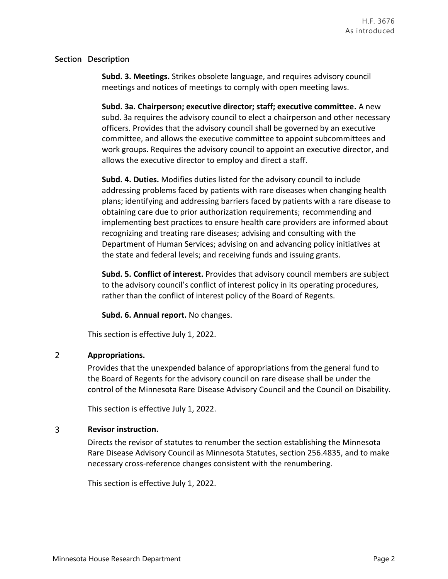### **Section Description**

**Subd. 3. Meetings.** Strikes obsolete language, and requires advisory council meetings and notices of meetings to comply with open meeting laws.

**Subd. 3a. Chairperson; executive director; staff; executive committee.** A new subd. 3a requires the advisory council to elect a chairperson and other necessary officers. Provides that the advisory council shall be governed by an executive committee, and allows the executive committee to appoint subcommittees and work groups. Requires the advisory council to appoint an executive director, and allows the executive director to employ and direct a staff.

**Subd. 4. Duties.** Modifies duties listed for the advisory council to include addressing problems faced by patients with rare diseases when changing health plans; identifying and addressing barriers faced by patients with a rare disease to obtaining care due to prior authorization requirements; recommending and implementing best practices to ensure health care providers are informed about recognizing and treating rare diseases; advising and consulting with the Department of Human Services; advising on and advancing policy initiatives at the state and federal levels; and receiving funds and issuing grants.

**Subd. 5. Conflict of interest.** Provides that advisory council members are subject to the advisory council's conflict of interest policy in its operating procedures, rather than the conflict of interest policy of the Board of Regents.

**Subd. 6. Annual report.** No changes.

This section is effective July 1, 2022.

#### $\overline{2}$ **Appropriations.**

Provides that the unexpended balance of appropriations from the general fund to the Board of Regents for the advisory council on rare disease shall be under the control of the Minnesota Rare Disease Advisory Council and the Council on Disability.

This section is effective July 1, 2022.

#### 3 **Revisor instruction.**

Directs the revisor of statutes to renumber the section establishing the Minnesota Rare Disease Advisory Council as Minnesota Statutes, section 256.4835, and to make necessary cross-reference changes consistent with the renumbering.

This section is effective July 1, 2022.